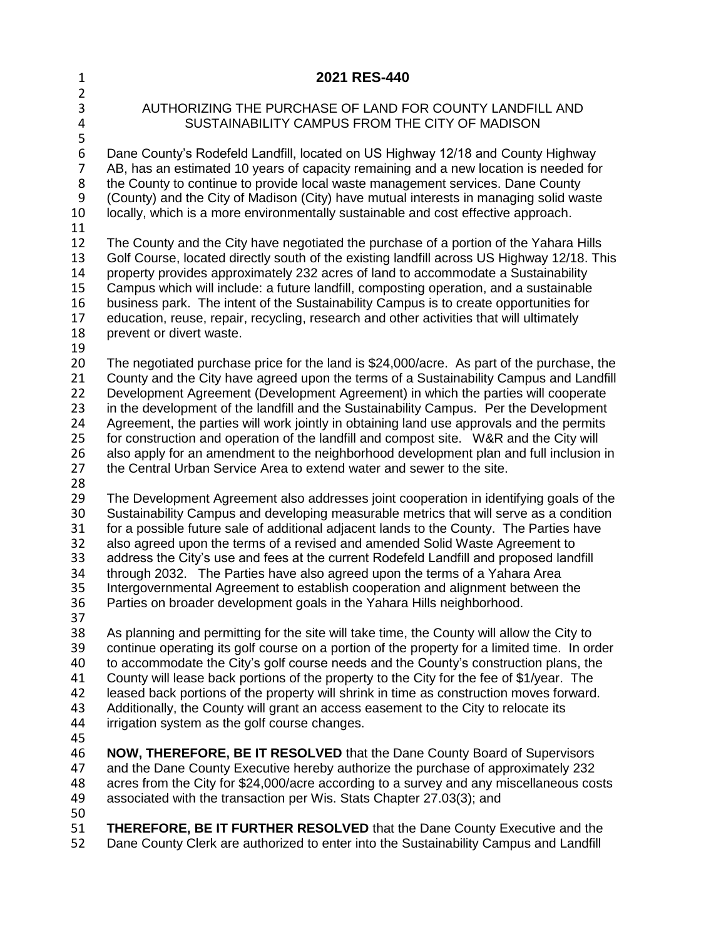| $\mathbf{1}$                                       | 2021 RES-440                                                                                                                                                                                                                                                                                                                                                                                                                                                                                                                                                                                                                                                                                                               |
|----------------------------------------------------|----------------------------------------------------------------------------------------------------------------------------------------------------------------------------------------------------------------------------------------------------------------------------------------------------------------------------------------------------------------------------------------------------------------------------------------------------------------------------------------------------------------------------------------------------------------------------------------------------------------------------------------------------------------------------------------------------------------------------|
| $\overline{2}$<br>3<br>4                           | AUTHORIZING THE PURCHASE OF LAND FOR COUNTY LANDFILL AND<br>SUSTAINABILITY CAMPUS FROM THE CITY OF MADISON                                                                                                                                                                                                                                                                                                                                                                                                                                                                                                                                                                                                                 |
| 5<br>6<br>$\overline{7}$<br>8<br>9<br>10<br>11     | Dane County's Rodefeld Landfill, located on US Highway 12/18 and County Highway<br>AB, has an estimated 10 years of capacity remaining and a new location is needed for<br>the County to continue to provide local waste management services. Dane County<br>(County) and the City of Madison (City) have mutual interests in managing solid waste<br>locally, which is a more environmentally sustainable and cost effective approach.                                                                                                                                                                                                                                                                                    |
| 12<br>13<br>14<br>15<br>16<br>17<br>18<br>19       | The County and the City have negotiated the purchase of a portion of the Yahara Hills<br>Golf Course, located directly south of the existing landfill across US Highway 12/18. This<br>property provides approximately 232 acres of land to accommodate a Sustainability<br>Campus which will include: a future landfill, composting operation, and a sustainable<br>business park. The intent of the Sustainability Campus is to create opportunities for<br>education, reuse, repair, recycling, research and other activities that will ultimately<br>prevent or divert waste.                                                                                                                                          |
| 20<br>21<br>22<br>23<br>24<br>25<br>26<br>27<br>28 | The negotiated purchase price for the land is \$24,000/acre. As part of the purchase, the<br>County and the City have agreed upon the terms of a Sustainability Campus and Landfill<br>Development Agreement (Development Agreement) in which the parties will cooperate<br>in the development of the landfill and the Sustainability Campus. Per the Development<br>Agreement, the parties will work jointly in obtaining land use approvals and the permits<br>for construction and operation of the landfill and compost site. W&R and the City will<br>also apply for an amendment to the neighborhood development plan and full inclusion in<br>the Central Urban Service Area to extend water and sewer to the site. |
| 29<br>30<br>31<br>32<br>33<br>34<br>35<br>36<br>37 | The Development Agreement also addresses joint cooperation in identifying goals of the<br>Sustainability Campus and developing measurable metrics that will serve as a condition<br>for a possible future sale of additional adjacent lands to the County. The Parties have<br>also agreed upon the terms of a revised and amended Solid Waste Agreement to<br>address the City's use and fees at the current Rodefeld Landfill and proposed landfill<br>through 2032. The Parties have also agreed upon the terms of a Yahara Area<br>Intergovernmental Agreement to establish cooperation and alignment between the<br>Parties on broader development goals in the Yahara Hills neighborhood.                            |
| 38<br>39<br>40<br>41<br>42<br>43<br>44             | As planning and permitting for the site will take time, the County will allow the City to<br>continue operating its golf course on a portion of the property for a limited time. In order<br>to accommodate the City's golf course needs and the County's construction plans, the<br>County will lease back portions of the property to the City for the fee of \$1/year. The<br>leased back portions of the property will shrink in time as construction moves forward.<br>Additionally, the County will grant an access easement to the City to relocate its<br>irrigation system as the golf course changes.                                                                                                            |
| 45<br>46<br>47<br>48<br>49<br>50                   | <b>NOW, THEREFORE, BE IT RESOLVED</b> that the Dane County Board of Supervisors<br>and the Dane County Executive hereby authorize the purchase of approximately 232<br>acres from the City for \$24,000/acre according to a survey and any miscellaneous costs<br>associated with the transaction per Wis. Stats Chapter 27.03(3); and                                                                                                                                                                                                                                                                                                                                                                                     |
| 51                                                 | <b>THEREFORE, BE IT FURTHER RESOLVED</b> that the Dane County Executive and the                                                                                                                                                                                                                                                                                                                                                                                                                                                                                                                                                                                                                                            |

Dane County Clerk are authorized to enter into the Sustainability Campus and Landfill